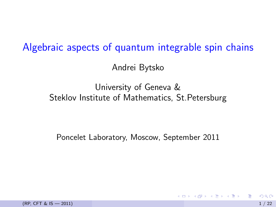# Algebraic aspects of quantum integrable spin chains

Andrei Bytsko

#### University of Geneva & Steklov Institute of Mathematics, St.Petersburg

Poncelet Laboratory, Moscow, September 2011

 $(RP, CFT & 15 - 2011)$  1 / 22

<span id="page-0-0"></span> $QQQ$ 

**イロト イ母ト イヨト イヨト**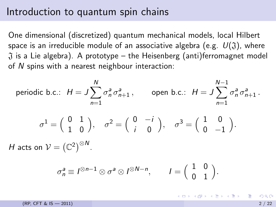#### Introduction to quantum spin chains

One dimensional (discretized) quantum mechanical models, local Hilbert space is an irreducible module of an associative algebra (e.g.  $U(\mathfrak{J})$ , where  $\tilde{J}$  is a Lie algebra). A prototype – the Heisenberg (anti)ferromagnet model of N spins with a nearest neighbour interaction:

periodic b.c.: 
$$
H = J \sum_{n=1}^{N} \sigma_n^a \sigma_{n+1}^a
$$
, open b.c.:  $H = J \sum_{n=1}^{N-1} \sigma_n^a \sigma_{n+1}^a$ .  
\n
$$
\sigma^1 = \begin{pmatrix} 0 & 1 \\ 1 & 0 \end{pmatrix}, \quad \sigma^2 = \begin{pmatrix} 0 & -i \\ i & 0 \end{pmatrix}, \quad \sigma^3 = \begin{pmatrix} 1 & 0 \\ 0 & -1 \end{pmatrix}.
$$
\n $H$  acts on  $V = (\mathbb{C}^2)^{\otimes N}$ .

$$
\sigma_n^a \equiv I^{\otimes n-1} \otimes \sigma^a \otimes I^{\otimes N-n}, \qquad I = \begin{pmatrix} 1 & 0 \\ 0 & 1 \end{pmatrix}.
$$

K ロ X X 個 X X 差 X X 差 X … 差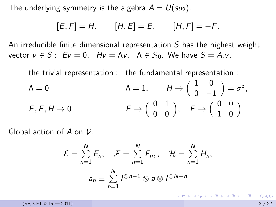The underlying symmetry is the algebra  $A = U(su_2)$ :

$$
[E, F] = H, \t [H, E] = E, \t [H, F] = -F.
$$

An irreducible finite dimensional representation  $S$  has the highest weight vector  $v \in S$ :  $Ev = 0$ ,  $Hv = \Lambda v$ ,  $\Lambda \in \mathbb{N}_0$ . We have  $S = A.v$ .

the trivial representation :  
\n
$$
\Lambda = 0
$$
\n
$$
E, F, H \to 0
$$
\n
$$
\downarrow \Lambda = 1, \qquad H \to \begin{pmatrix} 1 & 0 \\ 0 & -1 \end{pmatrix} = \sigma^3,
$$
\n
$$
E, F, H \to 0
$$
\n
$$
\downarrow E \to \begin{pmatrix} 0 & 1 \\ 0 & 0 \end{pmatrix}, \qquad F \to \begin{pmatrix} 0 & 0 \\ 1 & 0 \end{pmatrix}.
$$

Global action of A on  $\mathcal{V}$ :

$$
\mathcal{E} = \sum_{n=1}^{N} E_n, \quad \mathcal{F} = \sum_{n=1}^{N} F_n, \quad \mathcal{H} = \sum_{n=1}^{N} H_n,
$$

$$
a_n \equiv \sum_{n=1}^{N} I^{\otimes n-1} \otimes a \otimes I^{\otimes N-n}
$$

(RP, CFT & IS  $-2011$ ) 3 / 22

K ロ ▶ K 個 ▶ K 로 ▶ K 로 ▶ 『로 『 YO Q @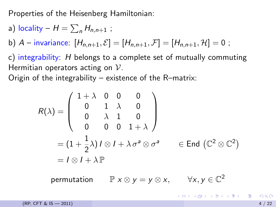Properties of the Heisenberg Hamiltonian:

a) **locality** – 
$$
H = \sum_n H_{n,n+1}
$$
;

b) A – invariance:  $[H_{n,n+1}, \mathcal{E}] = [H_{n,n+1}, \mathcal{F}] = [H_{n,n+1}, \mathcal{H}] = 0$ ;

c) integrability: H belongs to a complete set of mutually commuting Hermitian operators acting on  $\mathcal{V}$ .

Origin of the integrability – existence of the R–matrix:

$$
R(\lambda) = \begin{pmatrix} 1 + \lambda & 0 & 0 & 0 \\ 0 & 1 & \lambda & 0 \\ 0 & \lambda & 1 & 0 \\ 0 & 0 & 0 & 1 + \lambda \end{pmatrix}
$$
  
=  $(1 + \frac{1}{2}\lambda) \, 1 \otimes 1 + \lambda \, \sigma^a \otimes \sigma^a$   $\in$  End  $(\mathbb{C}^2 \otimes \mathbb{C}^2)$   
=  $1 \otimes 1 + \lambda \mathbb{P}$ 

permutation  $\mathbb{P} \times \otimes y = y \otimes x, \qquad \forall x, y \in \mathbb{C}^2$ 

 $(RP, CFT & 15 - 2011)$  4 / 22

K ロ ▶ K @ ▶ K 할 ▶ K 할 ▶ ... 할 → 9 Q @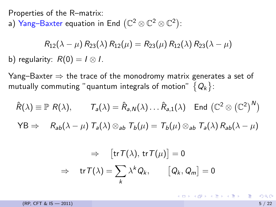Properties of the R–matrix:

a)  $\mathsf{Yang}\text{-}\mathsf{B}$ axter equation in End  $\left(\mathbb{C}^2\otimes\mathbb{C}^2\otimes\mathbb{C}^2\right)$ :

$$
R_{12}(\lambda - \mu) R_{23}(\lambda) R_{12}(\mu) = R_{23}(\mu) R_{12}(\lambda) R_{23}(\lambda - \mu)
$$
  
b) regularity:  $R(0) = I \otimes I$ .

Yang–Baxter  $\Rightarrow$  the trace of the monodromy matrix generates a set of mutually commuting "quantum integrals of motion"  $\,\{\mathsf Q_k\}$ :

$$
\hat{R}(\lambda) \equiv \mathbb{P} \ R(\lambda), \qquad T_a(\lambda) = \hat{R}_{a,N}(\lambda) \dots \hat{R}_{a,1}(\lambda) \quad \text{End } (\mathbb{C}^2 \otimes (\mathbb{C}^2)^N)
$$
  
\n
$$
\text{YB} \Rightarrow \qquad R_{ab}(\lambda - \mu) \ T_a(\lambda) \otimes_{ab} T_b(\mu) = T_b(\mu) \otimes_{ab} T_a(\lambda) R_{ab}(\lambda - \mu)
$$

$$
\Rightarrow \quad [\text{tr}\, \mathcal{T}(\lambda),\, \text{tr}\, \mathcal{T}(\mu)]=0
$$

$$
\Rightarrow \quad \text{tr}\, \mathcal{T}(\lambda)=\sum_{k}\lambda^{k}Q_{k}, \qquad [Q_{k},Q_{m}]=0
$$

 $(RP, CFT & IS - 2011)$  5 / 22

K ロンス 御 > ス ヨ > ス ヨ > 一 ヨ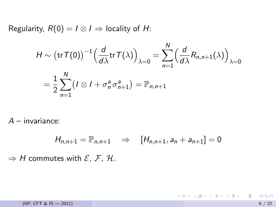Regularity,  $R(0) = I \otimes I \Rightarrow$  locality of H:

$$
H \sim (\operatorname{tr} T(0))^{-1} \left( \frac{d}{d\lambda} \operatorname{tr} T(\lambda) \right)_{\lambda=0} = \sum_{n=1}^{N} \left( \frac{d}{d\lambda} R_{n,n+1}(\lambda) \right)_{\lambda=0}
$$
  
= 
$$
\frac{1}{2} \sum_{n=1}^{N} \left( I \otimes I + \sigma_n^a \sigma_{n+1}^a \right) = \mathbb{P}_{n,n+1}
$$

 $A$  – invariance:

$$
H_{n,n+1} = \mathbb{P}_{n,n+1} \Rightarrow [H_{n,n+1}, a_n + a_{n+1}] = 0
$$

 $\Rightarrow$  H commutes with  $\mathcal{E}, \mathcal{F}, \mathcal{H}.$ 

K ロ ▶ K 個 ▶ K 로 ▶ K 로 ▶ 『로 『 YO Q @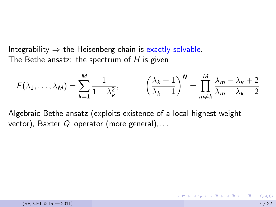Integrability  $\Rightarrow$  the Heisenberg chain is exactly solvable. The Bethe ansatz: the spectrum of  $H$  is given

$$
E(\lambda_1,\ldots,\lambda_M)=\sum_{k=1}^M\frac{1}{1-\lambda_k^2},\qquad \left(\frac{\lambda_k+1}{\lambda_k-1}\right)^N=\prod_{m\neq k}^M\frac{\lambda_m-\lambda_k+2}{\lambda_m-\lambda_k-2}
$$

Algebraic Bethe ansatz (exploits existence of a local highest weight vector), Baxter  $Q$ -operator (more general),...

イロン イ部ン イ君ン イ君ン 一番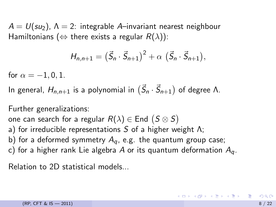$A = U(su_2)$ ,  $\Lambda = 2$ : integrable A-invariant nearest neighbour Hamiltonians ( $\Leftrightarrow$  there exists a regular  $R(\lambda)$ ):

$$
H_{n,n+1} = (\vec{S}_n \cdot \vec{S}_{n+1})^2 + \alpha (\vec{S}_n \cdot \vec{S}_{n+1}),
$$

for  $\alpha = -1, 0, 1$ .

In general,  $H_{n,n+1}$  is a polynomial in  $(\vec S_n \cdot \vec S_{n+1})$  of degree Λ.

Further generalizations:

one can search for a regular  $R(\lambda) \in \mathsf{End}\,\, (S \otimes S)$ 

- a) for irreducible representations  $S$  of a higher weight  $\Lambda$ ;
- b) for a deformed symmetry  $A_q$ , e.g. the quantum group case;
- c) for a higher rank Lie algebra A or its quantum deformation  $A<sub>q</sub>$ .

Relation to 2D statistical models...

<span id="page-7-0"></span>K ロ ▶ K 個 ▶ K ミ ▶ K ミ ▶ │ 글 │ K) Q Q Q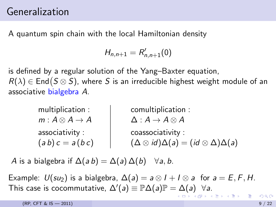### Generalization

A quantum spin chain with the local Hamiltonian density

<span id="page-8-0"></span>
$$
H_{n,n+1}=R_{n,n+1}'(0)
$$

is defined by a regular solution of the Yang–Baxter equation,  $R(\lambda) \in \mathsf{End}\bigl(S \otimes S\bigr)$ , where  $S$  is an irreducible highest weight module of an associative bialgebra A.

| multiplication:                | comultiplication :                                            |
|--------------------------------|---------------------------------------------------------------|
| $m: A \otimes A \rightarrow A$ | $\Delta: A \rightarrow A \otimes A$                           |
| associativity:                 | coassociativity:                                              |
| $(a b) c = a (b c)$            | $(\Delta \otimes id)\Delta(a) = (id \otimes \Delta)\Delta(a)$ |

A is a bialgebra if  $\Delta(ab) = \Delta(a)\Delta(b)$   $\forall a, b$ .

Example:  $U(su_2)$  is a bialgebra,  $\Delta(a) = a \otimes 1 + 1 \otimes a$  for  $a = E, F, H$ . This c[a](#page-9-0)se is cocommutative,  $\Delta'(a) \equiv \mathbb{P}\Delta(a)\mathbb{P} = \Delta(a)$  $\Delta'(a) \equiv \mathbb{P}\Delta(a)\mathbb{P} = \Delta(a)$  $\Delta'(a) \equiv \mathbb{P}\Delta(a)\mathbb{P} = \Delta(a)$   $\forall a$ [.](#page-0-0)

 $(RP, CFT & 15 - 2011)$  9 / 22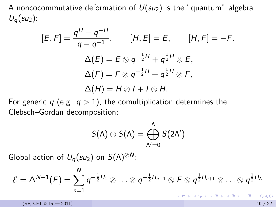A noncocommutative deformation of  $U(su_2)$  is the "quantum" algebra  $U_q(su_2)$ :

$$
[E, F] = \frac{q^{H} - q^{-H}}{q - q^{-1}}, \qquad [H, E] = E, \qquad [H, F] = -F.
$$

$$
\Delta(E) = E \otimes q^{-\frac{1}{2}H} + q^{\frac{1}{2}H} \otimes E,
$$

$$
\Delta(F) = F \otimes q^{-\frac{1}{2}H} + q^{\frac{1}{2}H} \otimes F,
$$

$$
\Delta(H) = H \otimes I + I \otimes H.
$$

For generic q (e.g.  $q > 1$ ), the comultiplication determines the Clebsch–Gordan decomposition:

<span id="page-9-0"></span>
$$
S(\Lambda) \otimes S(\Lambda) = \bigoplus_{\Lambda'=0}^{\Lambda} S(2\Lambda')
$$

Global action of  $U_q(su_2)$  on  $S(\Lambda)^{\otimes N}$ :

$$
\mathcal{E}=\Delta^{N-1}(E)=\sum_{n=1}^Nq^{-\frac{1}{2}H_1}\otimes\ldots\otimes q^{-\frac{1}{2}H_{n-1}}\otimes E\otimes q^{\frac{1}{2}H_{n+1}}\otimes\ldots\otimes q^{\frac{1}{2}H_N}
$$

 $(RP, CFT & IS - 2011)$  10 / 22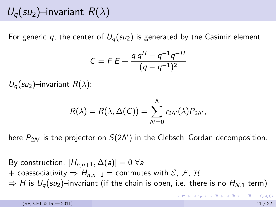## $U_q(su_2)$ –invariant  $R(\lambda)$

For generic q, the center of  $U_q(su_2)$  is generated by the Casimir element

$$
C = F E + \frac{q q H + q^{-1} q^{-H}}{(q - q^{-1})^2}
$$

 $U_q(su_2)$ –invariant  $R(\lambda)$ :

$$
R(\lambda)=R(\lambda,\Delta(C))=\sum_{N'=0}^{\Lambda}r_{2N'}(\lambda)P_{2N'},
$$

here  $P_{2\Lambda'}$  is the projector on  $S(2\Lambda')$  in the Clebsch–Gordan decomposition.

By construction,  $[H_{n,n+1}, \Delta(a)] = 0 \ \forall a$ + coassociativity  $\Rightarrow H_{n,n+1}$  = commutes with  $\mathcal{E}, \mathcal{F}, \mathcal{H}$  $\Rightarrow$  H is  $U_q(su_2)$ –invariant (if the chain is open, i.e. there is no  $H_{N,1}$  term)

 $(RP, CFT & IS \rightarrow 2011)$  11 / 22

イロト イ母 トイミト イミト ニヨー りんぴ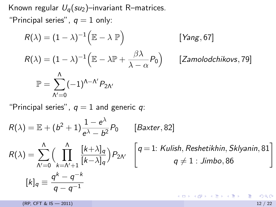Known regular  $U_q(su_2)$ –invariant R–matrices.

"Principal series",  $q = 1$  only:

$$
R(\lambda) = (1 - \lambda)^{-1} (\mathbb{E} - \lambda \mathbb{P})
$$
 [Yang, 67]  
\n
$$
R(\lambda) = (1 - \lambda)^{-1} (\mathbb{E} - \lambda \mathbb{P} + \frac{\beta \lambda}{\lambda - \alpha} P_0)
$$
 [Zamolodchikovs, 79]  
\n
$$
\mathbb{P} = \sum_{N'=0}^{\Lambda} (-1)^{\Lambda - N'} P_{2N'}
$$

"Principal series",  $q = 1$  and generic q:

$$
R(\lambda) = \mathbb{E} + (b^2 + 1) \frac{1 - e^{\lambda}}{e^{\lambda} - b^2} P_0 \qquad [Baster, 82]
$$
  
\n
$$
R(\lambda) = \sum_{N'=0}^{\Lambda} \Big( \prod_{k=\Lambda'+1}^{\Lambda} \frac{[k+\lambda]_q}{[k-\lambda]_q} \Big) P_{2\Lambda'} \quad \left[ q = 1: \text{Kulish, Reshetikhin, Sklyanin, 81} \right]
$$
  
\n
$$
[k]_q \equiv \frac{q^k - q^{-k}}{q - q^{-1}}
$$

(RP, CFT & IS — 2011) 12 / 22

イロト 不優 ト 不差 ト 不差 トー 差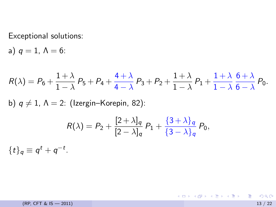Exceptional solutions:

a)  $q=1, \Lambda=6$ :

$$
R(\lambda) = P_6 + \frac{1+\lambda}{1-\lambda} P_5 + P_4 + \frac{4+\lambda}{4-\lambda} P_3 + P_2 + \frac{1+\lambda}{1-\lambda} P_1 + \frac{1+\lambda}{1-\lambda} \frac{6+\lambda}{6-\lambda} P_0.
$$
  
b)  $q \neq 1$ ,  $\Lambda = 2$ : (Izergin-Korepin, 82):  

$$
R(\lambda) = P_2 + \frac{[2+\lambda]_q}{[2-\lambda]_q} P_1 + \frac{\{3+\lambda\}_q}{\{3-\lambda\}_q} P_0,
$$

$$
\{t\}_q \equiv q^t + q^{-t}.
$$

(RP, CFT & IS  $-2011$ ) 13 / 22

K ロ ▶ K 個 ▶ K 로 ▶ K 로 ▶ - 로 - K 9 Q @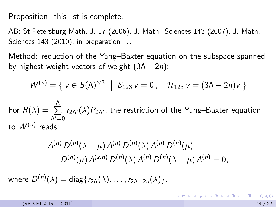Proposition: this list is complete.

AB: St.Petersburg Math. J. 17 (2006), J. Math. Sciences 143 (2007), J. Math. Sciences 143 (2010), in preparation ...

Method: reduction of the Yang–Baxter equation on the subspace spanned by highest weight vectors of weight  $(3\Lambda - 2n)$ :

$$
W^{(n)} = \{ v \in S(\Lambda)^{\otimes 3} \mid \mathcal{E}_{123} v = 0, \quad \mathcal{H}_{123} v = (3\Lambda - 2n)v \}
$$

For  $R(\lambda) = \sum^{\Lambda}$  $\Lambda$  $=$ 0  $r_{2\Lambda'}(\lambda)P_{2\Lambda'}$ , the restriction of the Yang–Baxter equation to  $W^{(n)}$  reads:

$$
A^{(n)} D^{(n)}(\lambda - \mu) A^{(n)} D^{(n)}(\lambda) A^{(n)} D^{(n)}(\mu) - D^{(n)}(\mu) A^{(s,n)} D^{(n)}(\lambda) A^{(n)} D^{(n)}(\lambda - \mu) A^{(n)} = 0,
$$

where  $D^{(n)}(\lambda)=\mathsf{diag}\{r_{2\Lambda}(\lambda),\ldots,r_{2\Lambda-2n}(\lambda)\}.$ 

K ロ ▶ K @ ▶ K 할 ▶ K 할 ▶ ... 할 → 9 Q @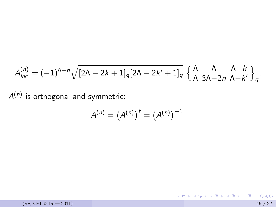$$
A_{kk'}^{(n)} = (-1)^{\Lambda-n} \sqrt{[2\Lambda - 2k + 1]_q [2\Lambda - 2k' + 1]_q} \left\{ \begin{array}{ll} \Lambda & \Lambda & \Lambda - k \\ \Lambda & 3\Lambda - 2n & \Lambda - k' \end{array} \right\}_q.
$$

 $A^{(n)}$  is orthogonal and symmetric:

$$
A^{(n)} = (A^{(n)})^t = (A^{(n)})^{-1}.
$$

(RP, CFT & IS  $-2011$ ) 15 / 22

K ロ ▶ K @ ▶ K 할 ▶ K 할 ▶ 이 할 → 9 Q @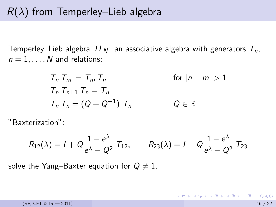### $R(\lambda)$  from Temperley–Lieb algebra

Temperley–Lieb algebra  $TL_N$ : an associative algebra with generators  $T_n$ ,  $n = 1, \ldots, N$  and relations:

$$
T_n T_m = T_m T_n \qquad \text{for } |n - m| > 1
$$
  
\n
$$
T_n T_{n\pm 1} T_n = T_n
$$
  
\n
$$
T_n T_n = (Q + Q^{-1}) T_n \qquad Q \in \mathbb{R}
$$

"Baxterization":

$$
R_{12}(\lambda) = I + Q \frac{1 - e^{\lambda}}{e^{\lambda} - Q^2} T_{12}, \qquad R_{23}(\lambda) = I + Q \frac{1 - e^{\lambda}}{e^{\lambda} - Q^2} T_{23}
$$

solve the Yang–Baxter equation for  $Q \neq 1$ .

K ロンス 御 > ス ヨ > ス ヨ > 一 ヨ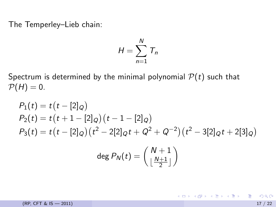The Temperley–Lieb chain:

$$
H=\sum_{n=1}^N T_n
$$

Spectrum is determined by the minimal polynomial  $P(t)$  such that  $P(H) = 0.$ 

$$
P_1(t) = t(t - [2]_Q)
$$
  
\n
$$
P_2(t) = t(t + 1 - [2]_Q)(t - 1 - [2]_Q)
$$
  
\n
$$
P_3(t) = t(t - [2]_Q)(t^2 - 2[2]_Qt + Q^2 + Q^{-2})(t^2 - 3[2]_Qt + 2[3]_Q)
$$
  
\n
$$
\deg P_N(t) = \begin{pmatrix} N + 1 \\ \frac{N+1}{2} \end{pmatrix}
$$

 $(RP, CFT & IS - 2011)$  17 / 22

K ロ ▶ K @ ▶ K 할 ▶ K 할 ▶ ... 할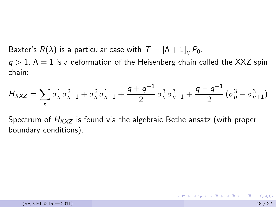Baxter's  $R(\lambda)$  is a particular case with  $T = [\Lambda + 1]_q P_0$ .

 $q > 1$ ,  $\Lambda = 1$  is a deformation of the Heisenberg chain called the XXZ spin chain:

$$
H_{XXZ} = \sum_{n} \sigma_n^1 \sigma_{n+1}^2 + \sigma_n^2 \sigma_{n+1}^1 + \frac{q+q^{-1}}{2} \sigma_n^3 \sigma_{n+1}^3 + \frac{q-q^{-1}}{2} (\sigma_n^3 - \sigma_{n+1}^3)
$$

Spectrum of  $H_{XXZ}$  is found via the algebraic Bethe ansatz (with proper boundary conditions).

K ロ ▶ K 個 ▶ K 로 ▶ K 로 ▶ 『로 『 YO Q @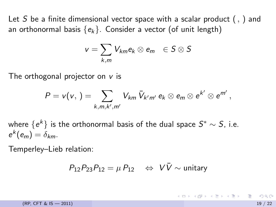Let S be a finite dimensional vector space with a scalar product  $($ ,  $)$  and an orthonormal basis  ${e_k}$ . Consider a vector (of unit length)

$$
v=\sum_{k,m}V_{km}e_k\otimes e_m\ \in S\otimes S
$$

The orthogonal projector on  $v$  is

$$
P = v(v, \cdot) = \sum_{k,m,k',m'} V_{km} \, \bar{V}_{k'm'} \, e_k \otimes e_m \otimes e^{k'} \otimes e^{m'} \,,
$$

where  $\{e^k\}$  is the orthonormal basis of the dual space  $S^*\sim S$ , i.e.  $e^k(e_m)=\delta_{km}$ .

Temperley–Lieb relation:

$$
P_{12}P_{23}P_{12} = \mu P_{12} \quad \Leftrightarrow \quad V\bar{V} \sim \text{unitary}
$$

 $(RP, CFT & IS \rightarrow 2011)$  19 / 22

イロト イ母 トイミト イミト ニヨー りんぴ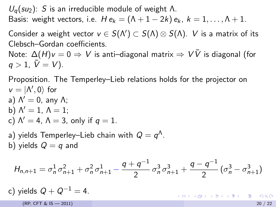$U_q(su_2)$ : S is an irreducible module of weight Λ. Basis: weight vectors, i.e.  $He_k = (\Lambda + 1 - 2k)e_k$ ,  $k = 1, ..., \Lambda + 1$ .

Consider a weight vector  $v\in S(\Lambda')\subset S(\Lambda)\otimes S(\Lambda)$ .  $V$  is a matrix of its Clebsch–Gordan coefficients.

Note:  $\Delta(H)v = 0 \Rightarrow V$  is anti–diagonal matrix  $\Rightarrow V\overline{V}$  is diagonal (for  $q > 1, \bar{V} = V$ ).

Proposition. The Temperley–Lieb relations holds for the projector on  $v = |$ <sup> $\Lambda$ </sup>, 0 $\rangle$  for a)  $\Lambda' = 0$ , any  $\Lambda$ ; b)  $\Lambda' = 1$ ,  $\Lambda = 1$ ;

c) 
$$
\Lambda' = 4
$$
,  $\Lambda = 3$ , only if  $q = 1$ .

a) yields Temperley–Lieb chain with  $Q=q^\Lambda$ . b) yields  $Q = q$  and

$$
H_{n,n+1} = \sigma_n^1 \sigma_{n+1}^2 + \sigma_n^2 \sigma_{n+1}^1 - \frac{q+q^{-1}}{2} \sigma_n^3 \sigma_{n+1}^3 + \frac{q-q^{-1}}{2} (\sigma_n^3 - \sigma_{n+1}^3)
$$

c) yields 
$$
Q + Q^{-1} = 4
$$
.

 $(RP, CFT & IS \rightarrow 2011)$  20

K ロ ▶ K 個 ▶ K 로 ▶ K 로 ▶ 『로 『 YO Q @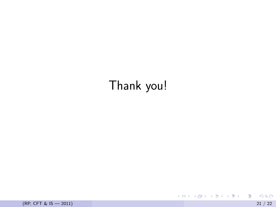# Thank you!

(RP, CFT & IS — 2011) 21 / 22

活

メロト メタト メミト メミト